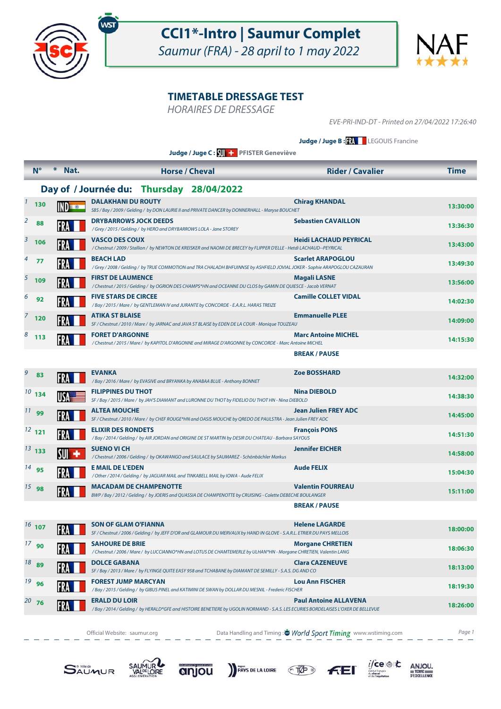



HORAIRES DE DRESSAGE

EVE-PRI-IND-DT - Printed on 27/04/2022 17:26:40

**Judge / Juge B : XX** LEGOUIS Francine

**Judge / Juge C : PFISTER Geneviève**

|                | $N^{\circ}$       | ⋇<br>Nat.     | <b>Horse / Cheval</b>                                                                                                                                      | <b>Rider / Cavalier</b>       | Time     |
|----------------|-------------------|---------------|------------------------------------------------------------------------------------------------------------------------------------------------------------|-------------------------------|----------|
|                |                   |               | Day of / Journée du: Thursday 28/04/2022                                                                                                                   |                               |          |
| $\mathbf{1}$   | 130               | IND <b>TO</b> | <b>DALAKHANI DU ROUTY</b><br>SBS / Bay / 2009 / Gelding / by DON LAURIE II and PRIVATE DANCER by DONNERHALL - Maryse BOUCHET                               | <b>Chirag KHANDAL</b>         | 13:30:00 |
| $\overline{2}$ | 88                |               | <b>DRYBARROWS JOCK DEEDS</b><br>/Grey / 2015 / Gelding / by HERO and DRYBARROWS LOLA - Jane STOREY                                                         | <b>Sebastien CAVAILLON</b>    | 13:36:30 |
| 3              | 106               |               | <b>VASCO DES COUX</b><br>/ Chestnut / 2009 / Stallion / by NEWTON DE KREISKER and NAOMI DE BRECEY by FLIPPER D'ELLE - Hetdi LACHAUD--PEYRICAL              | <b>Heidi LACHAUD PEYRICAL</b> | 13:43:00 |
|                | 77                |               | BEACH LAD<br>/Grey / 2008 / Gelding / by TRUE COMMOTION and TRA CHALADH BHFUINNSE by ASHFIELD JOVIAL JOKER - Sophie ARAPOGLOU CAZAURAN                     | <b>Scarlet ARAPOGLOU</b>      | 13:49:30 |
|                | $5\overline{109}$ | FRA           | <b>FIRST DE LAUMENCE</b><br>/Chestnut / 2015 / Gelding / by OGRION DES CHAMPS*HN and OCEANNE DU CLOS by GAMIN DE QUIESCE - Jacob VERNAT                    | Magali LASNE                  | 13:56:00 |
| 6              | 92                |               | <b>FIVE STARS DE CIRCEE</b><br>/Bay / 2015 / Mare / by GENTLEMAN IV and JURANTE by CONCORDE - E.A.R.L. HARAS TREIZE                                        | <b>Camille COLLET VIDAL</b>   | 14:02:30 |
|                | 120               |               | <b>ATIKA ST BLAISE</b><br>SF / Chestnut / 2010 / Mare / by JARNAC and JAVA ST BLAISE by EDEN DE LA COUR - Monique TOUZEAU                                  | <b>Emmanuelle PLEE</b>        | 14:09:00 |
| 8              | 113               | FRA           | <b>FORET D'ARGONNE</b><br>/Chestnut / 2015 / Mare / by KAPITOL D'ARGONNE and MIRAGE D'ARGONNE by CONCORDE - Marc Antoine MICHEL                            | <b>Marc Antoine MICHEL</b>    | 14:15:30 |
|                |                   |               |                                                                                                                                                            | <b>BREAK/PAUSE</b>            |          |
| 9              | 83                | FRA           | <b>EVANKA</b><br>/Bay / 2016 / Mare / by EVASIVE and BRYANKA by ANABAA BLUE - Anthony BONNET                                                               | <b>Zoe BOSSHARD</b>           | 14:32:00 |
|                | $10^{10}$ 134     |               | <b>FILIPPINES DU THOT</b><br>SF / Bay / 2015 / Mare / by JAH'S DIAMANT and LURONNE DU THOT by FIDELIO DU THOT HN - Nina DIEBOLD                            | <b>Nina DIEBOLD</b>           | 14:38:30 |
|                | $11$ 99           |               | <b>ALTEA MOUCHE</b><br>SF / Chestnut / 2010 / Mare / by CHEF ROUGE*HN and OASIS MOUCHE by QREDO DE PAULSTRA - Jean Julien FREY ADC                         | <b>Jean Julien FREY ADC</b>   | 14:45:00 |
|                | $12$ 121          |               | <b>ELIXIR DES RONDETS</b><br>/Bay / 2014 / Gelding / by AIR JORDAN and ORIGINE DE ST MARTIN by DESIR DU CHATEAU - Barbara SAYOUS                           | <b>François PONS</b>          | 14:51:30 |
|                | $13^{13}$ 133     | SUI           | SUENO VI CH<br>/ Chestnut / 2006 / Gelding / by OKAWANGO and SAULACE by SAUMAREZ - Schönbächler Markus                                                     | <b>Jennifer EICHER</b>        | 14:58:00 |
|                | $14$ 95           |               | <b>E MAIL DE L'EDEN</b><br>/Other/2014/Gelding/ by JAGUAR MAIL and TINKABELL MAIL by IOWA - Aude FELIX                                                     | <b>Aude FELIX</b>             | 15:04:30 |
|                | $15$ 98           | FRA           | <b>MACADAM DE CHAMPENOTTE</b><br>BWP / Bay / 2012 / Gelding / by JOERIS and QUASSIA DE CHAMPENOTTE by CRUISING - Colette DEBECHE BOULANGER                 | <b>Valentin FOURREAU</b>      | 15:11:00 |
|                |                   |               |                                                                                                                                                            | <b>BREAK / PAUSE</b>          |          |
|                | $16$ 107          | FRA           | <b>SON OF GLAM O'FIANNA</b><br>SF / Chestnut / 2006 / Gelding / by JEFF D'OR and GLAMOUR DU MERVAUX by HAND IN GLOVE - S.A.R.L. ETRIER DU PAYS MELLOIS     | <b>Helene LAGARDE</b>         | 18:00:00 |
|                | $17$ 90           |               | <b>SAHOURE DE BRIE</b><br>/ Chestnut / 2006 / Mare / by LUCCIANNO*HN and LOTUS DE CHAMTEMERLE by ULHAN*HN - Morgane CHRETIEN, Valentin LANG                | <b>Morgane CHRETIEN</b>       | 18:06:30 |
|                | $18^{9}$ 89       |               | <b>DOLCE GABANA</b><br>SF / Bay / 2013 / Mare / by FLYINGE QUITE EASY 958 and TCHABANE by DIAMANT DE SEMILLY - S.A.S. DG AND CO                            | <b>Clara CAZENEUVE</b>        | 18:13:00 |
|                | $19$ 96           |               | <b>FOREST JUMP MARCYAN</b><br>/Bay / 2015 / Gelding / by GIBUS PINEL and KATIMINI DE SWAN by DOLLAR DU MESNIL - Frederic FISCHER                           | <b>Lou Ann FISCHER</b>        | 18:19:30 |
|                | 20, 76            |               | <b>ERALD DU LOIR</b><br>/Bay / 2014 / Gelding / by HERALD*GFE and HISTOIRE BENETIERE by UGOLIN NORMAND - S.A.S. LES ECURIES BORDELAISES L'OXER DE BELLEVUE | <b>Paul Antoine ALLAVENA</b>  | 18:26:00 |
|                |                   |               |                                                                                                                                                            |                               |          |

Official Website: saumur.org **Data Handling and Timing : World Sport Timing** www.wstiming.com Page 1













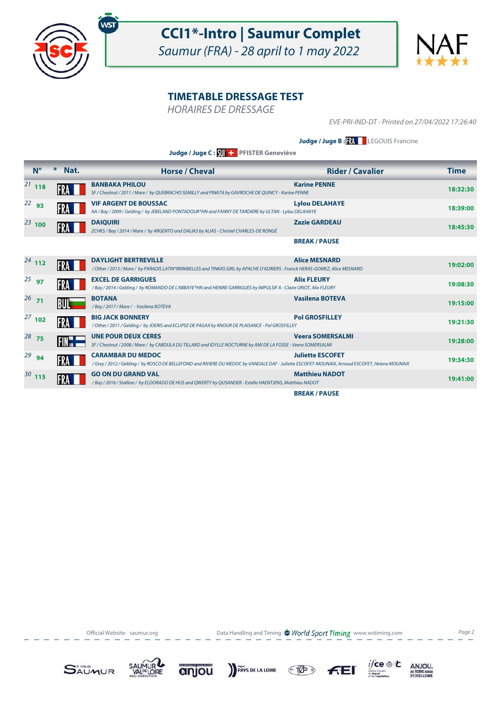



HORAIRES DE DRESSAGE

EVE-PRI-IND-DT - Printed on 27/04/2022 17:26:40

**Judge / Juge B : XX** LEGOUIS Francine

**Judge / Juge C : PFISTER Geneviève**

| $N^{\circ}$ | ⋇<br>Nat. | <b>Horse / Cheval</b>                                                                                                                                                     | <b>Rider / Cavalier</b> | <b>Time</b> |
|-------------|-----------|---------------------------------------------------------------------------------------------------------------------------------------------------------------------------|-------------------------|-------------|
| $^{21}$ 118 |           | <b>BANBAKA PHILOU</b><br>SF / Chestnut / 2011 / Mare / by QUEBRACHO SEMILLY and PINATA by GAVROCHE DE QUINCY - Karine PENNE                                               | <b>Karine PENNE</b>     | 18:32:30    |
| $22$ 93     |           | <b>VIF ARGENT DE BOUSSAC</b><br>AA / Bay / 2009 / Gelding / by JEBELAND PONTADOUR*HN and FANNY DE TARDIERE by ULTAN - Lylou DELAHAYE                                      | <b>Lylou DELAHAYE</b>   | 18:39:00    |
| $^{23}$ 100 |           | <b>DAIQUIRI</b><br>ZCHKS / Bay / 2014 / Mare / by ARGENTO and DALIAS by ALIAS - Christel CHARLES-DE RONGÉ                                                                 | <b>Zazie GARDEAU</b>    | 18:45:30    |
|             |           |                                                                                                                                                                           | <b>BREAK/PAUSE</b>      |             |
| $24$ 112    |           | <b>DAYLIGHT BERTREVILLE</b><br>/ Other / 2013 / Mare / by PARADIS LATIN*BRIMBELLES and TINKAS GIRL by APACHE D'ADRIERS - Franck HERAS-GOMEZ, Alice MESNARD                | <b>Alice MESNARD</b>    | 19:02:00    |
| $25$ 97     |           | <b>EXCEL DE GARRIGUES</b><br>/ Bay / 2014 / Gelding / by ROMANDO DE L'ABBAYE*HN and HENIRE GARRIGUES by IMPULSIF A - Claire URIOT, Alix FLEURY                            | <b>Alix FLEURY</b>      | 19:08:30    |
| $26$ 71     | BUI       | <b>BOTANA</b><br>/Bay/2017/Mare/ - Vasilena BOTEVA                                                                                                                        | <b>Vasilena BOTEVA</b>  | 19:15:00    |
| $27$ 102    |           | <b>BIG JACK BONNERY</b><br>/Other / 2011 / Gelding / by JOERIS and ECLIPSE DE PAGAX by KNOUR DE PLAISANCE - Pol GROSFILLEY                                                | <b>Pol GROSFILLEY</b>   | 19:21:30    |
| $28$ 75     | FIN-      | <b>UNE POUR DEUX CERES</b><br>SF / Chestnut / 2008 / Mare / by CABDULA DU TILLARD and IDYLLE NOCTURNE by AMI DE LA FOSSE - Veera SOMERSALMI                               | <b>Veera SOMERSALMI</b> | 19:28:00    |
| $29$ 94     |           | <b>CARAMBAR DU MEDOC</b><br>/Grey / 2012 / Gelding / by ROSCO DE BELLEFOND and RIVIERE DU MEDOC by VANDALE DAF - Juliette ESCOFET-MOUNAIX, Arnaud ESCOFET, Helene MOUNAIX | <b>Juliette ESCOFET</b> | 19:34:30    |
| $30$ 115    |           | <b>GO ON DU GRAND VAL</b><br>/ Bay / 2016 / Stallion / by ELDORADO DE HUS and QWERTY by QUSANDER - Estelle HAENTJENS, Matthieu NADOT                                      | <b>Matthieu NADOT</b>   | 19:41:00    |
|             |           |                                                                                                                                                                           | <b>BREAK/PAUSE</b>      |             |

Official Website: saumur.org **Data Handling and Timing : World Sport Timing** www.wstiming.com Page 2











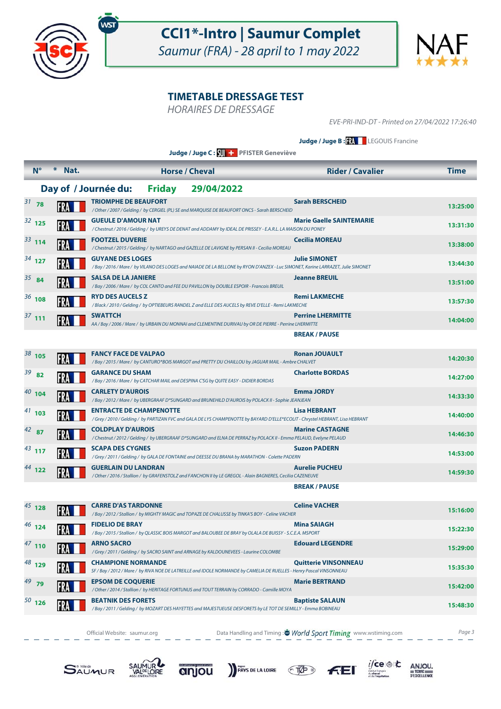



HORAIRES DE DRESSAGE

EVE-PRI-IND-DT - Printed on 27/04/2022 17:26:40

**Judge / Juge B : XX** LEGOUIS Francine

**Judge / Juge C : PFISTER Geneviève**

|            | $N^{\circ}$ | * Nat. | <b>Horse / Cheval</b>                                                                                                                                           | <b>Rider / Cavalier</b>         | <b>Time</b> |
|------------|-------------|--------|-----------------------------------------------------------------------------------------------------------------------------------------------------------------|---------------------------------|-------------|
|            |             |        | Day of / Journée du:<br><b>Friday</b><br>29/04/2022                                                                                                             |                                 |             |
| $31$ 78    |             |        | <b>TRIOMPHE DE BEAUFORT</b><br>/Other / 2007 / Gelding / by CERGIEL (PL) SE and MARQUISE DE BEAUFORT ONCS - Sarah BERSCHEID                                     | <b>Sarah BERSCHEID</b>          | 13:25:00    |
| $32$ 125   |             |        | <b>GUEULE D'AMOUR NAT</b><br>/ Chestnut / 2016 / Gelding / by UREYS DE DENAT and ADDAMY by IDEAL DE PRISSEY - E.A.R.L. LA MAISON DU PONEY                       | <b>Marie Gaelle SAINTEMARIE</b> | 13:31:30    |
| $33$ 114   |             |        | <b>FOOTZEL DUVERIE</b><br>/ Chestnut / 2015 / Gelding / by NARTAGO and GAZELLE DE LAVIGNE by PERSAN II - Cecilia MOREAU                                         | Cecilia MOREAU                  | 13:38:00    |
| $34$ 127   |             |        | <b>GUYANE DES LOGES</b><br>/ Bay / 2016 / Mare / by VILANO DES LOGES and NAIADE DE LA BELLONE by RYON D'ANZEX - Luc SIMONET, Karine LARRAZET, Julie SIMONET     | <b>Julie SIMONET</b>            | 13:44:30    |
| $35^{8}84$ |             |        | SALSA DE LA JANIERE<br>/ Bay / 2006 / Mare / by COL CANTO and FEE DU PAVILLON by DOUBLE ESPOIR - Francois BREUIL                                                | <b>Jeanne BREUIL</b>            | 13:51:00    |
| $36$ 108   |             |        | <b>RYD DES AUCELS Z</b><br>/ Black / 2010 / Gelding / by OPTIEBEURS RANDEL Z and ELLE DES AUCELS by REVE D'ELLE - Remi LAKMECHE                                 | <b>Remi LAKMECHE</b>            | 13:57:30    |
| $37$ 111   |             | FRA    | <b>SWATTCH</b><br>AA / Bay / 2006 / Mare / by URBAIN DU MONNAI and CLEMENTINE DURIVAU by OR DE PIERRE - Perrine LHERMITTE                                       | <b>Perrine LHERMITTE</b>        | 14:04:00    |
|            |             |        |                                                                                                                                                                 | <b>BREAK/PAUSE</b>              |             |
| $38_{105}$ |             |        | <b>FANCY FACE DE VALPAO</b><br>/ Bay / 2015 / Mare / by CANTURO*BOIS MARGOT and PRETTY DU CHAILLOU by JAGUAR MAIL - Ambre CHALVET                               | <b>Ronan JOUAULT</b>            | 14:20:30    |
| $39$ 82    |             |        | <b>GARANCE DU SHAM</b><br>/ Bay / 2016 / Mare / by CATCHAR MAIL and DESPINA C'SG by QUITE EASY - DIDIER BORDAS                                                  | <b>Charlotte BORDAS</b>         | 14:27:00    |
| $40$ 104   |             |        | <b>CARLETY D'AUROIS</b><br>/Bay / 2012 / Mare / by UBERGRAAF D*SUNGARD and BRUNEHILD D'AUROIS by POLACK II - Sophie JEANJEAN                                    | <b>Emma JORDY</b>               | 14:33:30    |
| $41$ 103   |             |        | <b>ENTRACTE DE CHAMPENOTTE</b><br>/Grey / 2010 / Gelding / by PARTIZAN FVC and GALA DE LYS CHAMPENOTTE by BAYARD D'ELLE*ECOLIT - Chrystel HEBRANT, Lisa HEBRANT | Lisa HEBRANT                    | 14:40:00    |
| $42$ 87    |             |        | <b>COLDPLAY D'AUROIS</b><br>/ Chestnut / 2012 / Gelding / by UBERGRAAF D*SUNGARD and ELNA DE PERRAZ by POLACK II - Emma PELAUD, Evelyne PELAUD                  | <b>Marine CASTAGNE</b>          | 14:46:30    |
| $43$ 117   |             |        | <b>SCAPA DES CYGNES</b><br>/Grey / 2011 / Gelding / by GALA DE FONTAINE and DEESSE DU BRANA by MARATHON - Colette PADERN                                        | <b>Suzon PADERN</b>             | 14:53:00    |
| $44$ 122   |             | FRA    | <b>GUERLAIN DU LANDRAN</b><br>/ Other / 2016 / Stallion / by GRAFENSTOLZ and FANCHON II by LE GREGOL - Alain BAGNERES, Cecilia CAZENEUVE                        | <b>Aurelie PUCHEU</b>           | 14:59:30    |
|            |             |        |                                                                                                                                                                 | <b>BREAK / PAUSE</b>            |             |
| $45$ 128   |             |        | <b>CARRE D'AS TARDONNE</b><br>/Bay / 2012 / Stallion / by MIGHTY MAGIC and TOPAZE DE CHALUSSE by TINKA'S BOY - Celine VACHER                                    | <b>Celine VACHER</b>            | 15:16:00    |
| $46$ 124   |             |        | <b>FIDELIO DE BRAY</b><br>/ Bay / 2015 / Stallion / by QLASSIC BOIS MARGOT and BALOUBEE DE BRAY by OLALA DE BUISSY - S.C.E.A. MSPORT                            | <b>Mina SAIAGH</b>              | 15:22:30    |
| $47$ 110   |             |        | <b>ARNO SACRO</b><br>/Grey / 2011 / Gelding / by SACRO SAINT and ARNAGE by KALDOUNEVEES - Laurine COLOMBE                                                       | <b>Edouard LEGENDRE</b>         | 15:29:00    |
| $48$ 129   |             |        | <b>CHAMPIONE NORMANDE</b><br>SF / Bay / 2012 / Mare / by RIVA NOE DE LATREILLE and IDOLE NORMANDE by CAMELIA DE RUELLES - Henry Pascal VINSONNEAU               | <b>Quitterie VINSONNEAU</b>     | 15:35:30    |
| $49$ 79    |             |        | <b>EPSOM DE COQUERIE</b><br>/ Other / 2014 / Stallion / by HERITAGE FORTUNUS and TOUT TERRAIN by CORRADO - Camille MOYA                                         | <b>Marie BERTRAND</b>           | 15:42:00    |
| $50$ 126   |             |        | <b>BEATNIK DES FORETS</b><br>/ Bay / 2011 / Gelding / by MOZART DES HAYETTES and MAJESTUEUSE DESFORETS by LE TOT DE SEMILLY - Emma BOBINEAU                     | <b>Baptiste SALAUN</b>          | 15:48:30    |
|            |             |        |                                                                                                                                                                 |                                 |             |

Official Website: saumur.org **Data Handling and Timing : World Sport Timing** www.wstiming.com Page 3













 $\begin{array}{r}\n\text{ANJOU,} \\
\equiv \text{TERE} \\
\text{D'EXCELLENCE}\n\end{array}$